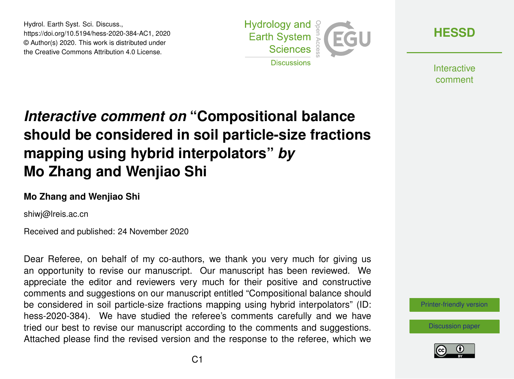Hydrol. Earth Syst. Sci. Discuss., https://doi.org/10.5194/hess-2020-384-AC1, 2020 © Author(s) 2020. This work is distributed under the Creative Commons Attribution 4.0 License.



**[HESSD](https://hess.copernicus.org/preprints/)**

**Interactive** comment

## *Interactive comment on* **"Compositional balance should be considered in soil particle-size fractions mapping using hybrid interpolators"** *by* **Mo Zhang and Wenjiao Shi**

## **Mo Zhang and Wenjiao Shi**

shiwj@lreis.ac.cn

Received and published: 24 November 2020

Dear Referee, on behalf of my co-authors, we thank you very much for giving us an opportunity to revise our manuscript. Our manuscript has been reviewed. We appreciate the editor and reviewers very much for their positive and constructive comments and suggestions on our manuscript entitled "Compositional balance should be considered in soil particle-size fractions mapping using hybrid interpolators" (ID: hess-2020-384). We have studied the referee's comments carefully and we have tried our best to revise our manuscript according to the comments and suggestions. Attached please find the revised version and the response to the referee, which we

[Printer-friendly version](https://hess.copernicus.org/preprints/hess-2020-384/hess-2020-384-AC1-print.pdf)

[Discussion paper](https://hess.copernicus.org/preprints/hess-2020-384)